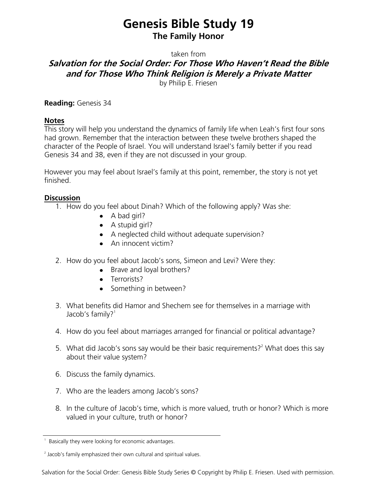# **Genesis Bible Study 19 The Family Honor**

taken from

# **Salvation for the Social Order: For Those Who Haven't Read the Bible and for Those Who Think Religion is Merely a Private Matter**

by Philip E. Friesen

#### **Reading:** Genesis 34

## **Notes**

This story will help you understand the dynamics of family life when Leah's first four sons had grown. Remember that the interaction between these twelve brothers shaped the character of the People of Israel. You will understand Israel's family better if you read Genesis 34 and 38, even if they are not discussed in your group.

However you may feel about Israel's family at this point, remember, the story is not yet finished.

### **Discussion**

- 1. How do you feel about Dinah? Which of the following apply? Was she:
	- A bad girl?
	- A stupid girl?
	- A neglected child without adequate supervision?
	- An innocent victim?
- 2. How do you feel about Jacob's sons, Simeon and Levi? Were they:
	- Brave and loyal brothers?
	- Terrorists?
	- Something in between?
- 3. What benefits did Hamor and Shechem see for themselves in a marriage with Jacob's family? $1$
- 4. How do you feel about marriages arranged for financial or political advantage?
- 5. What did Jacob's sons say would be their basic requirements?<sup>2</sup> What does this say about their value system?
- 6. Discuss the family dynamics.
- 7. Who are the leaders among Jacob's sons?
- 8. In the culture of Jacob's time, which is more valued, truth or honor? Which is more valued in your culture, truth or honor?

Salvation for the Social Order: Genesis Bible Study Series © Copyright by Philip E. Friesen. Used with permission.

<sup>1</sup> Basically they were looking for economic advantages.

<sup>&</sup>lt;sup>2</sup> Jacob's family emphasized their own cultural and spiritual values.